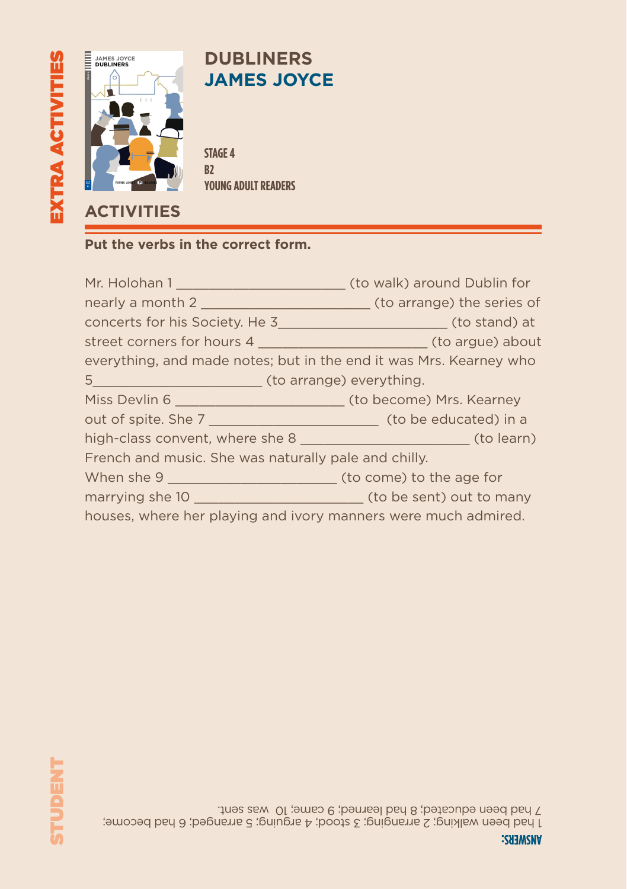

## **DUBLINERS JAMES JOYCE**

**STAGE 4 B2 YOUNG ADULT READERS**

#### **Put the verbs in the correct form.**

|                                                                    | (to walk) around Dublin for |
|--------------------------------------------------------------------|-----------------------------|
|                                                                    |                             |
|                                                                    |                             |
|                                                                    |                             |
| everything, and made notes; but in the end it was Mrs. Kearney who |                             |
|                                                                    |                             |
|                                                                    |                             |
|                                                                    |                             |
|                                                                    |                             |
| French and music. She was naturally pale and chilly.               |                             |
|                                                                    |                             |
|                                                                    |                             |
| houses, where her playing and ivory manners were much admired.     |                             |

1 had been walking; 2 arranging; 3 stood; 4 arguing; 5 arranged; 6 had become; 7 had been educated; 8 had learned; 9 came; 10 was sent.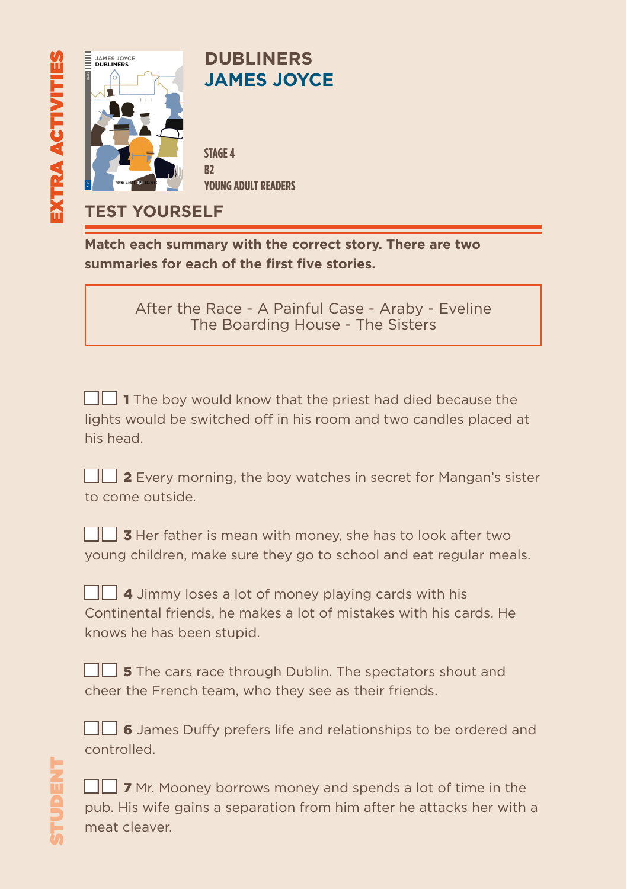

**TEST YOURSELF**

**Match each summary with the correct story. There are two summaries for each of the first five stories.**

> After the Race - A Painful Case - Araby - Eveline The Boarding House - The Sisters

 $\Box$  1 The boy would know that the priest had died because the lights would be switched off in his room and two candles placed at his head.

|                  |  |  | $\Box$ 2 Every morning, the boy watches in secret for Mangan's sister |  |
|------------------|--|--|-----------------------------------------------------------------------|--|
| to come outside. |  |  |                                                                       |  |

| $\Box$ 3 Her father is mean with money, she has to look after two  |  |  |  |  |  |  |  |
|--------------------------------------------------------------------|--|--|--|--|--|--|--|
| young children, make sure they go to school and eat regular meals. |  |  |  |  |  |  |  |

 $\Box$  4 Jimmy loses a lot of money playing cards with his Continental friends, he makes a lot of mistakes with his cards. He knows he has been stupid.

 $\Box$  **5** The cars race through Dublin. The spectators shout and cheer the French team, who they see as their friends.

 $\Box$  6 James Duffy prefers life and relationships to be ordered and controlled.

 $\Box$  7 Mr. Mooney borrows money and spends a lot of time in the pub. His wife gains a separation from him after he attacks her with a meat cleaver.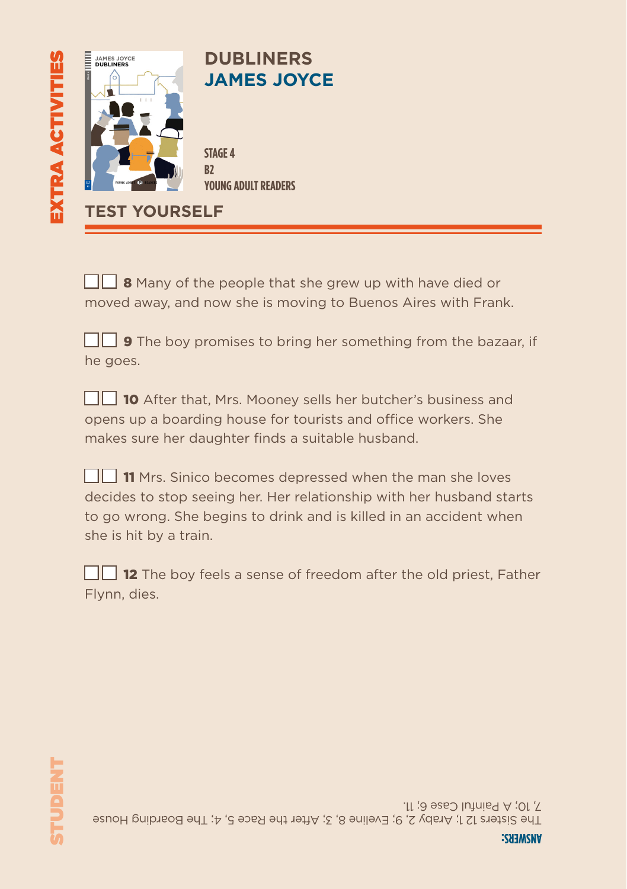

 $\Box$  8 Many of the people that she grew up with have died or moved away, and now she is moving to Buenos Aires with Frank.

|          |  |  |  |  | $\Box$ 9 The boy promises to bring her something from the bazaar, if |  |  |
|----------|--|--|--|--|----------------------------------------------------------------------|--|--|
| he goes. |  |  |  |  |                                                                      |  |  |

■ 10 After that, Mrs. Mooney sells her butcher's business and opens up a boarding house for tourists and office workers. She makes sure her daughter finds a suitable husband.

| 11 Mrs. Sinico becomes depressed when the man she loves              |
|----------------------------------------------------------------------|
| decides to stop seeing her. Her relationship with her husband starts |
| to go wrong. She begins to drink and is killed in an accident when   |
| she is hit by a train.                                               |

 $\Box$  **12** The boy feels a sense of freedom after the old priest. Father Flynn, dies.

The Sisters 12 1; Araby 2, 9; Eveline 8, 3; After the Race 5, 4; The Boarding House 7, 10; A Painful Case 6; 11.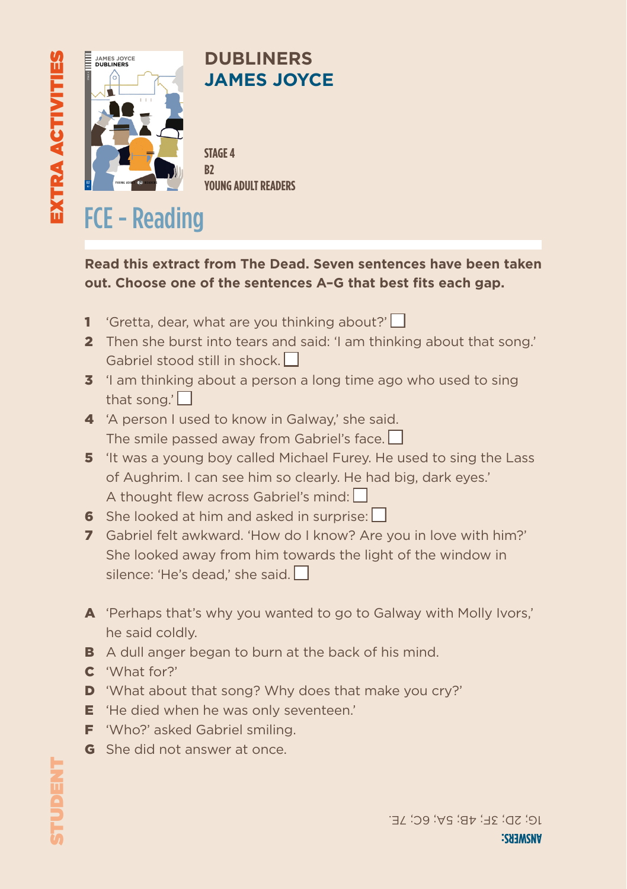

## **DUBLINERS JAMES JOYCE**

**STAGE 4 B2 YOUNG ADULT READERS**

# FCE - Reading

### **Read this extract from The Dead. Seven sentences have been taken out. Choose one of the sentences A–G that best fits each gap.**

- 1 'Gretta, dear, what are you thinking about?' $\square$
- 2 Then she burst into tears and said: 'I am thinking about that song.' Gabriel stood still in shock.  $\Box$
- **3** 'I am thinking about a person a long time ago who used to sing that song.' $\vert \vert$
- 4 'A person I used to know in Galway,' she said. The smile passed away from Gabriel's face.  $\Box$
- 5 'It was a young boy called Michael Furey. He used to sing the Lass of Aughrim. I can see him so clearly. He had big, dark eyes.' A thought flew across Gabriel's mind: ■
- 6 She looked at him and asked in surprise:  $\Box$
- 7 Gabriel felt awkward. 'How do I know? Are you in love with him?' She looked away from him towards the light of the window in silence: 'He's dead,' she said.
- A 'Perhaps that's why you wanted to go to Galway with Molly Ivors,' he said coldly.
- **B** A dull anger began to burn at the back of his mind.
- C 'What for?'
- D 'What about that song? Why does that make you cry?'
- **E** 'He died when he was only seventeen.'
- **F** 'Who?' asked Gabriel smiling.
- G She did not answer at once.